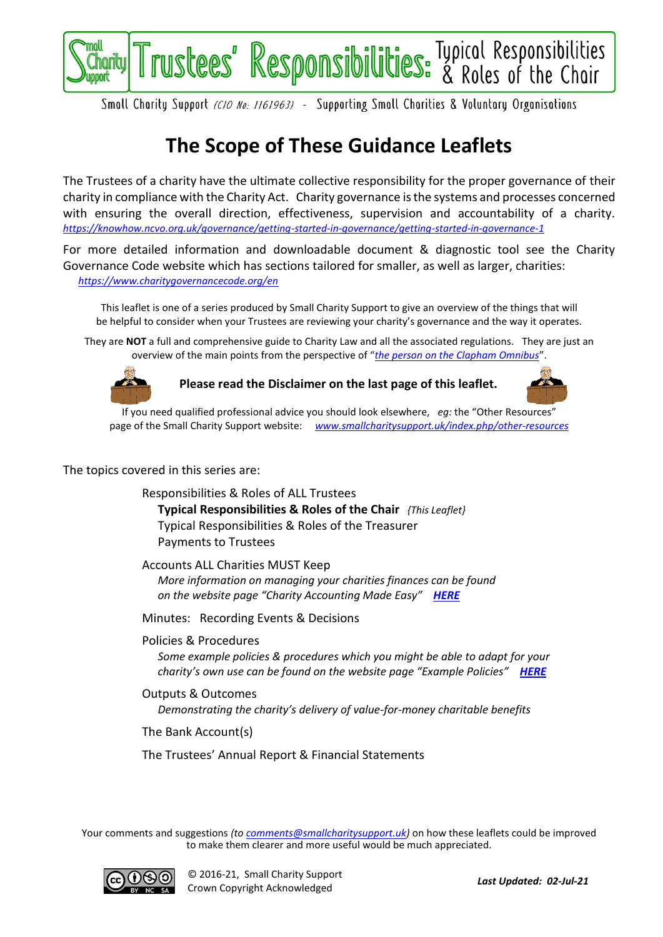

Smoll Chority Support (CIO No: 1161963) - Supporting Smoll Chorities & Voluntory Orgonisotions

# **The Scope of These Guidance Leaflets**

The Trustees of a charity have the ultimate collective responsibility for the proper governance of their charity in compliance with the Charity Act. Charity governance is the systems and processes concerned with ensuring the overall direction, effectiveness, supervision and accountability of a charity. *<https://knowhow.ncvo.org.uk/governance/getting-started-in-governance/getting-started-in-governance-1>*

For more detailed information and downloadable document & diagnostic tool see the Charity Governance Code website which has sections tailored for smaller, as well as larger, charities: *<https://www.charitygovernancecode.org/en>*

This leaflet is one of a series produced by Small Charity Support to give an overview of the things that will be helpful to consider when your Trustees are reviewing your charity's governance and the way it operates.

They are **NOT** a full and comprehensive guide to Charity Law and all the associated regulations. They are just an overview of the main points from the perspective of "*[the person on the Clapham Omnibus](https://en.wikipedia.org/wiki/The_man_on_the_Clapham_omnibus)*".



**Please read the Disclaimer on the last page of this leaflet.**



If you need qualified professional advice you should look elsewhere, *eg:* the "Other Resources" page of the Small Charity Support website: *[www.smallcharitysupport.uk/index.php/other-resources](http://www.smallcharitysupport.uk/index.php/other-resources)*

#### The topics covered in this series are:

Responsibilities & Roles of ALL Trustees **Typical Responsibilities & Roles of the Chair** *{This Leaflet}* Typical Responsibilities & Roles of the Treasurer Payments to Trustees

Accounts ALL Charities MUST Keep *More information on managing your charities finances can be found on the website page "Charity Accounting Made Easy" [HERE](https://www.smallcharitysupport.uk/index.php/accountsmadeeasy)*

Minutes: Recording Events & Decisions

Policies & Procedures

*Some example policies & procedures which you might be able to adapt for your charity's own use can be found on the website page "Example Policies" [HERE](https://www.smallcharitysupport.uk/index.php/example-policies)*

Outputs & Outcomes *Demonstrating the charity's delivery of value-for-money charitable benefits*

The Bank Account(s)

The Trustees' Annual Report & Financial Statements

Your comments and suggestions *(to [comments@smallcharitysupport.uk\)](mailto:comments@smallcharitysupport.uk)* on how these leaflets could be improved to make them clearer and more useful would be much appreciated.

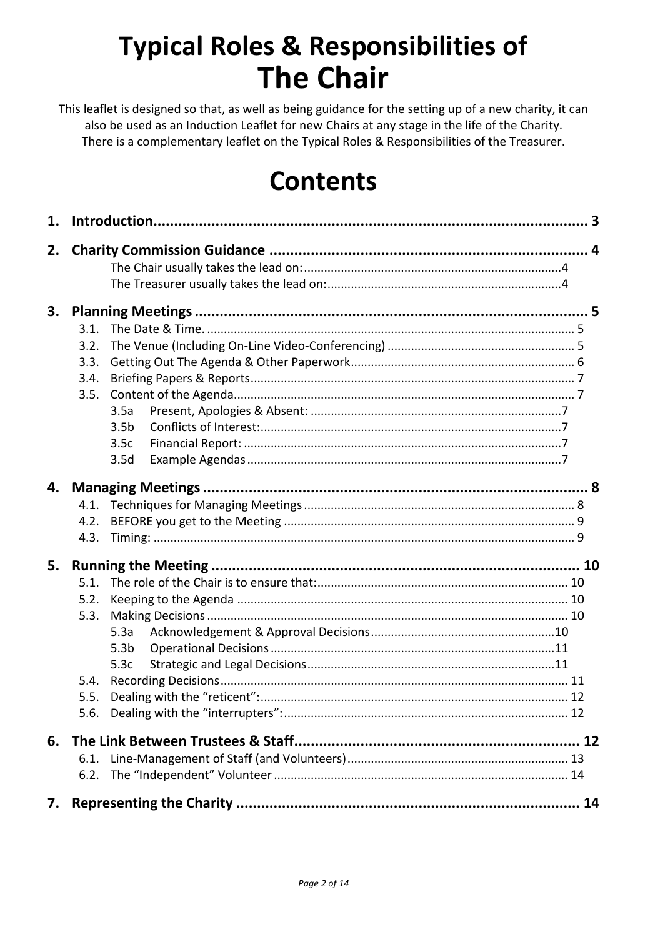# **Typical Roles & Responsibilities of The Chair**

This leaflet is designed so that, as well as being guidance for the setting up of a new charity, it can also be used as an Induction Leaflet for new Chairs at any stage in the life of the Charity. There is a complementary leaflet on the Typical Roles & Responsibilities of the Treasurer.

# **Contents**

| 1. |              |                  |  |
|----|--------------|------------------|--|
| 2. |              |                  |  |
|    |              |                  |  |
|    |              |                  |  |
|    |              |                  |  |
| 3. |              |                  |  |
|    | 3.1.         |                  |  |
|    | 3.2.         |                  |  |
|    | 3.3.         |                  |  |
|    | 3.4.<br>3.5. |                  |  |
|    |              | 3.5a             |  |
|    |              | 3.5 <sub>b</sub> |  |
|    |              | 3.5c             |  |
|    |              | 3.5d             |  |
|    |              |                  |  |
| 4. |              |                  |  |
|    | 4.1.         |                  |  |
|    | 4.2.         |                  |  |
|    | 4.3.         |                  |  |
| 5. |              |                  |  |
|    | 5.1.         |                  |  |
|    | 5.2.         |                  |  |
|    | 5.3.         |                  |  |
|    |              | 5.3a             |  |
|    |              | 5.3 <sub>b</sub> |  |
|    |              | 5.3c             |  |
|    | 5.4.         |                  |  |
|    | 5.5.         |                  |  |
|    |              |                  |  |
| 6. |              |                  |  |
|    | 6.1.         |                  |  |
|    | 6.2.         |                  |  |
| 7. |              |                  |  |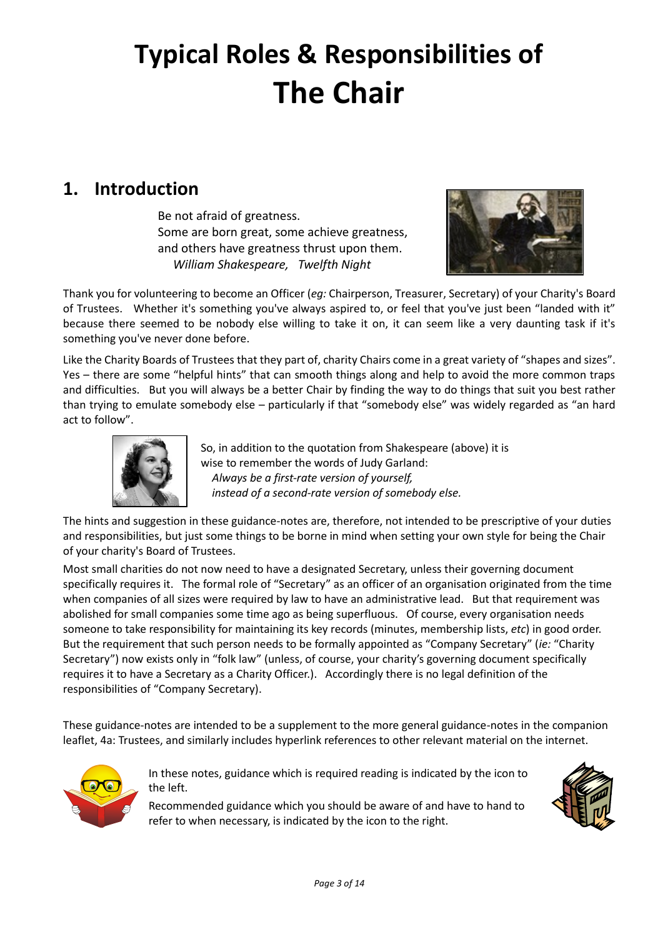# **Typical Roles & Responsibilities of The Chair**

# <span id="page-2-0"></span>**1. Introduction**

Be not afraid of greatness. Some are born great, some achieve greatness, and others have greatness thrust upon them. *William Shakespeare, Twelfth Night*



Thank you for volunteering to become an Officer (*eg:* Chairperson, Treasurer, Secretary) of your Charity's Board of Trustees. Whether it's something you've always aspired to, or feel that you've just been "landed with it" because there seemed to be nobody else willing to take it on, it can seem like a very daunting task if it's something you've never done before.

Like the Charity Boards of Trustees that they part of, charity Chairs come in a great variety of "shapes and sizes". Yes – there are some "helpful hints" that can smooth things along and help to avoid the more common traps and difficulties. But you will always be a better Chair by finding the way to do things that suit you best rather than trying to emulate somebody else – particularly if that "somebody else" was widely regarded as "an hard act to follow".



So, in addition to the quotation from Shakespeare (above) it is wise to remember the words of Judy Garland: *Always be a first-rate version of yourself, instead of a second-rate version of somebody else.*

The hints and suggestion in these guidance-notes are, therefore, not intended to be prescriptive of your duties and responsibilities, but just some things to be borne in mind when setting your own style for being the Chair of your charity's Board of Trustees.

Most small charities do not now need to have a designated Secretary, unless their governing document specifically requires it. The formal role of "Secretary" as an officer of an organisation originated from the time when companies of all sizes were required by law to have an administrative lead. But that requirement was abolished for small companies some time ago as being superfluous. Of course, every organisation needs someone to take responsibility for maintaining its key records (minutes, membership lists, *etc*) in good order. But the requirement that such person needs to be formally appointed as "Company Secretary" (*ie:* "Charity Secretary") now exists only in "folk law" (unless, of course, your charity's governing document specifically requires it to have a Secretary as a Charity Officer.). Accordingly there is no legal definition of the responsibilities of "Company Secretary).

These guidance-notes are intended to be a supplement to the more general guidance-notes in the companion leaflet, 4a: Trustees, and similarly includes hyperlink references to other relevant material on the internet.



In these notes, guidance which is required reading is indicated by the icon to the left.

Recommended guidance which you should be aware of and have to hand to refer to when necessary, is indicated by the icon to the right.

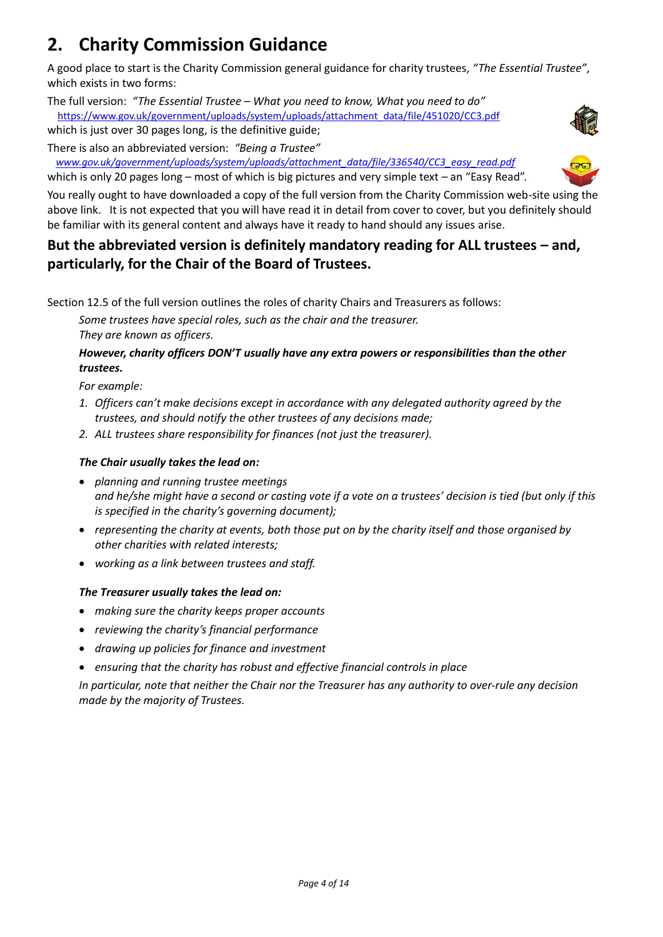# <span id="page-3-0"></span>**2. Charity Commission Guidance**

A good place to start is the Charity Commission general guidance for charity trustees, *"The Essential Trustee"*, which exists in two forms:

The full version: *"The Essential Trustee – What you need to know, What you need to do"* [https://www.gov.uk/government/uploads/system/uploads/attachment\\_data/file/451020/CC3.pdf](https://www.gov.uk/government/uploads/system/uploads/attachment_data/file/451020/CC3.pdf)

which is just over 30 pages long, is the definitive guide;

There is also an abbreviated version: *"Being a Trustee"*

 *[www.gov.uk/government/uploads/system/uploads/attachment\\_data/file/336540/CC3\\_easy\\_read.pdf](https://www.gov.uk/government/uploads/system/uploads/attachment_data/file/336540/CC3_easy_read.pdf)* which is only 20 pages long – most of which is big pictures and very simple text – an "Easy Read".



You really ought to have downloaded a copy of the full version from the Charity Commission web-site using the above link. It is not expected that you will have read it in detail from cover to cover, but you definitely should be familiar with its general content and always have it ready to hand should any issues arise.

## **But the abbreviated version is definitely mandatory reading for ALL trustees – and, particularly, for the Chair of the Board of Trustees.**

Section 12.5 of the full version outlines the roles of charity Chairs and Treasurers as follows:

*Some trustees have special roles, such as the chair and the treasurer. They are known as officers.*

### *However, charity officers DON'T usually have any extra powers or responsibilities than the other trustees.*

*For example:*

- *1. Officers can't make decisions except in accordance with any delegated authority agreed by the trustees, and should notify the other trustees of any decisions made;*
- *2. ALL trustees share responsibility for finances (not just the treasurer).*

### <span id="page-3-1"></span>*The Chair usually takes the lead on:*

- *planning and running trustee meetings and he/she might have a second or casting vote if a vote on a trustees' decision is tied (but only if this is specified in the charity's governing document);*
- *representing the charity at events, both those put on by the charity itself and those organised by other charities with related interests;*
- *working as a link between trustees and staff.*

### <span id="page-3-2"></span>*The Treasurer usually takes the lead on:*

- *making sure the charity keeps proper accounts*
- *reviewing the charity's financial performance*
- *drawing up policies for finance and investment*
- *ensuring that the charity has robust and effective financial controls in place*

*In particular, note that neither the Chair nor the Treasurer has any authority to over-rule any decision made by the majority of Trustees.*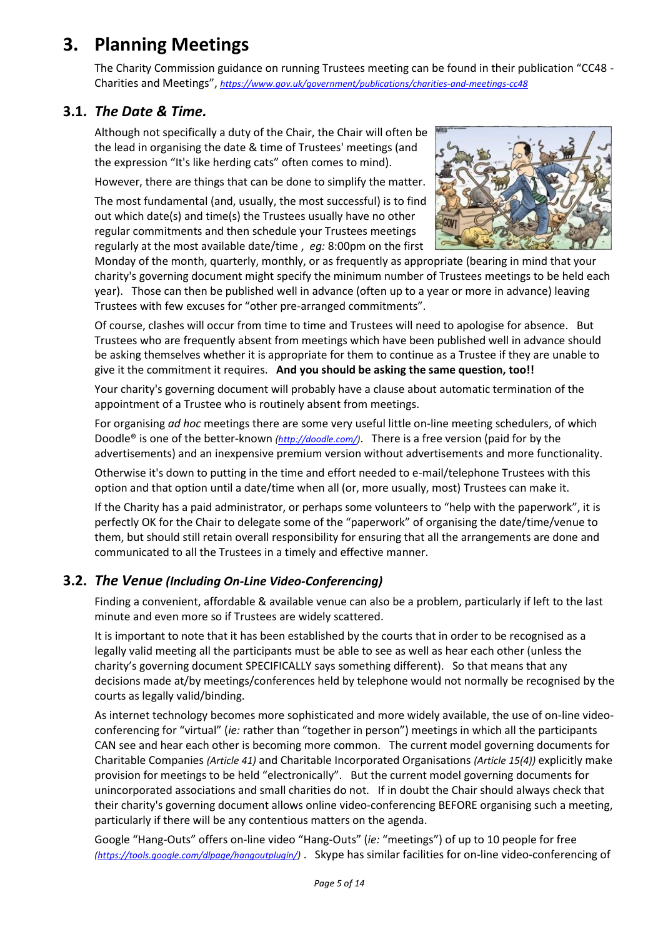# <span id="page-4-0"></span>**3. Planning Meetings**

The Charity Commission guidance on running Trustees meeting can be found in their publication "CC48 - Charities and Meetings", *<https://www.gov.uk/government/publications/charities-and-meetings-cc48>*

### <span id="page-4-1"></span>**3.1.** *The Date & Time.*

Although not specifically a duty of the Chair, the Chair will often be the lead in organising the date & time of Trustees' meetings (and the expression "It's like herding cats" often comes to mind).

However, there are things that can be done to simplify the matter.

The most fundamental (and, usually, the most successful) is to find out which date(s) and time(s) the Trustees usually have no other regular commitments and then schedule your Trustees meetings regularly at the most available date/time , *eg:* 8:00pm on the first



Monday of the month, quarterly, monthly, or as frequently as appropriate (bearing in mind that your charity's governing document might specify the minimum number of Trustees meetings to be held each year). Those can then be published well in advance (often up to a year or more in advance) leaving Trustees with few excuses for "other pre-arranged commitments".

Of course, clashes will occur from time to time and Trustees will need to apologise for absence. But Trustees who are frequently absent from meetings which have been published well in advance should be asking themselves whether it is appropriate for them to continue as a Trustee if they are unable to give it the commitment it requires. **And you should be asking the same question, too!!**

Your charity's governing document will probably have a clause about automatic termination of the appointment of a Trustee who is routinely absent from meetings.

For organising *ad hoc* meetings there are some very useful little on-line meeting schedulers, of which Doodle® is one of the better-known *[\(http://doodle.com/\)](http://doodle.com/)*. There is a free version (paid for by the advertisements) and an inexpensive premium version without advertisements and more functionality.

Otherwise it's down to putting in the time and effort needed to e-mail/telephone Trustees with this option and that option until a date/time when all (or, more usually, most) Trustees can make it.

If the Charity has a paid administrator, or perhaps some volunteers to "help with the paperwork", it is perfectly OK for the Chair to delegate some of the "paperwork" of organising the date/time/venue to them, but should still retain overall responsibility for ensuring that all the arrangements are done and communicated to all the Trustees in a timely and effective manner.

### <span id="page-4-2"></span>**3.2.** *The Venue (Including On-Line Video-Conferencing)*

Finding a convenient, affordable & available venue can also be a problem, particularly if left to the last minute and even more so if Trustees are widely scattered.

It is important to note that it has been established by the courts that in order to be recognised as a legally valid meeting all the participants must be able to see as well as hear each other (unless the charity's governing document SPECIFICALLY says something different). So that means that any decisions made at/by meetings/conferences held by telephone would not normally be recognised by the courts as legally valid/binding.

As internet technology becomes more sophisticated and more widely available, the use of on-line videoconferencing for "virtual" (*ie:* rather than "together in person") meetings in which all the participants CAN see and hear each other is becoming more common. The current model governing documents for Charitable Companies *(Article 41)* and Charitable Incorporated Organisations *(Article 15(4))* explicitly make provision for meetings to be held "electronically". But the current model governing documents for unincorporated associations and small charities do not. If in doubt the Chair should always check that their charity's governing document allows online video-conferencing BEFORE organising such a meeting, particularly if there will be any contentious matters on the agenda.

Google "Hang-Outs" offers on-line video "Hang-Outs" (*ie:* "meetings") of up to 10 people for free *[\(https://tools.google.com/dlpage/hangoutplugin/\)](https://tools.google.com/dlpage/hangoutplugin/)* . Skype has similar facilities for on-line video-conferencing of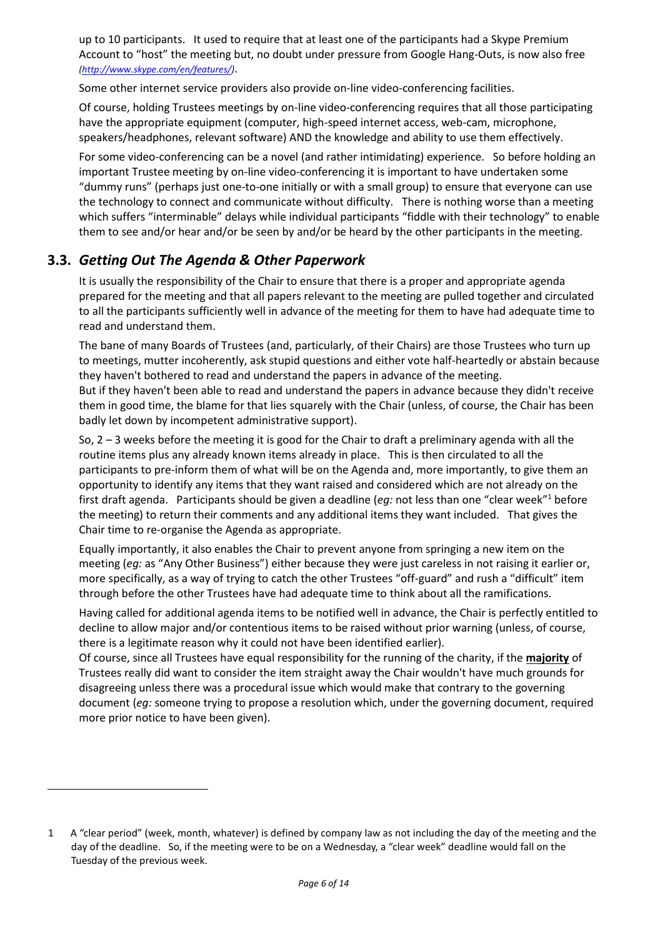up to 10 participants. It used to require that at least one of the participants had a Skype Premium Account to "host" the meeting but, no doubt under pressure from Google Hang-Outs, is now also free *[\(http://www.skype.com/en/features/\)](http://www.skype.com/en/features/)*.

Some other internet service providers also provide on-line video-conferencing facilities.

Of course, holding Trustees meetings by on-line video-conferencing requires that all those participating have the appropriate equipment (computer, high-speed internet access, web-cam, microphone, speakers/headphones, relevant software) AND the knowledge and ability to use them effectively.

For some video-conferencing can be a novel (and rather intimidating) experience. So before holding an important Trustee meeting by on-line video-conferencing it is important to have undertaken some "dummy runs" (perhaps just one-to-one initially or with a small group) to ensure that everyone can use the technology to connect and communicate without difficulty. There is nothing worse than a meeting which suffers "interminable" delays while individual participants "fiddle with their technology" to enable them to see and/or hear and/or be seen by and/or be heard by the other participants in the meeting.

### <span id="page-5-0"></span>**3.3.** *Getting Out The Agenda & Other Paperwork*

It is usually the responsibility of the Chair to ensure that there is a proper and appropriate agenda prepared for the meeting and that all papers relevant to the meeting are pulled together and circulated to all the participants sufficiently well in advance of the meeting for them to have had adequate time to read and understand them.

The bane of many Boards of Trustees (and, particularly, of their Chairs) are those Trustees who turn up to meetings, mutter incoherently, ask stupid questions and either vote half-heartedly or abstain because they haven't bothered to read and understand the papers in advance of the meeting.

But if they haven't been able to read and understand the papers in advance because they didn't receive them in good time, the blame for that lies squarely with the Chair (unless, of course, the Chair has been badly let down by incompetent administrative support).

So, 2 – 3 weeks before the meeting it is good for the Chair to draft a preliminary agenda with all the routine items plus any already known items already in place. This is then circulated to all the participants to pre-inform them of what will be on the Agenda and, more importantly, to give them an opportunity to identify any items that they want raised and considered which are not already on the first draft agenda. Participants should be given a deadline (*eg:* not less than one "clear week"<sup>1</sup> before the meeting) to return their comments and any additional items they want included. That gives the Chair time to re-organise the Agenda as appropriate.

Equally importantly, it also enables the Chair to prevent anyone from springing a new item on the meeting (*eg:* as "Any Other Business") either because they were just careless in not raising it earlier or, more specifically, as a way of trying to catch the other Trustees "off-guard" and rush a "difficult" item through before the other Trustees have had adequate time to think about all the ramifications.

Having called for additional agenda items to be notified well in advance, the Chair is perfectly entitled to decline to allow major and/or contentious items to be raised without prior warning (unless, of course, there is a legitimate reason why it could not have been identified earlier).

Of course, since all Trustees have equal responsibility for the running of the charity, if the **majority** of Trustees really did want to consider the item straight away the Chair wouldn't have much grounds for disagreeing unless there was a procedural issue which would make that contrary to the governing document (*eg:* someone trying to propose a resolution which, under the governing document, required more prior notice to have been given).

<sup>1</sup> A "clear period" (week, month, whatever) is defined by company law as not including the day of the meeting and the day of the deadline. So, if the meeting were to be on a Wednesday, a "clear week" deadline would fall on the Tuesday of the previous week.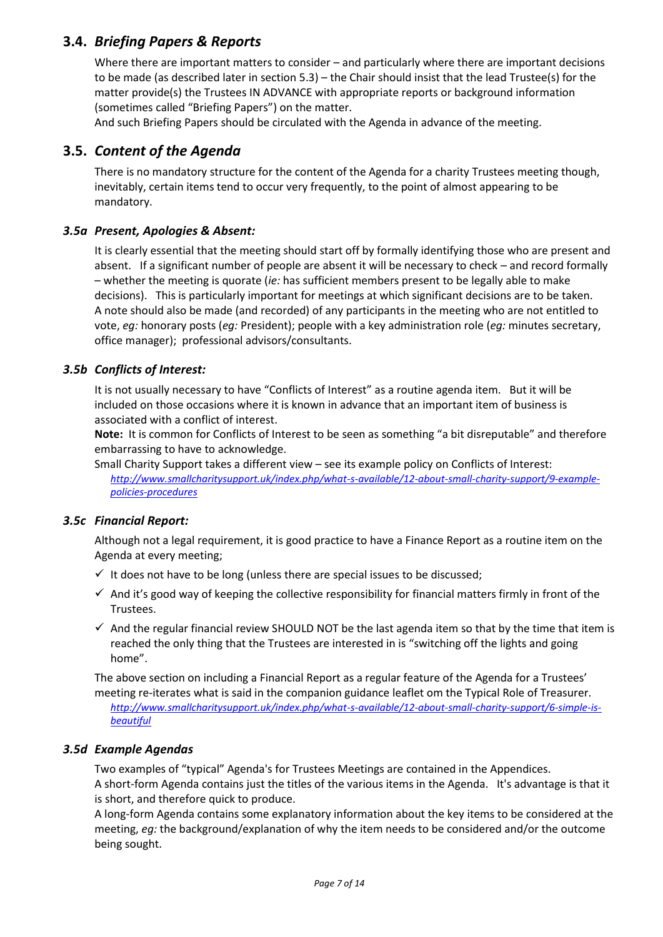## <span id="page-6-0"></span>**3.4.** *Briefing Papers & Reports*

Where there are important matters to consider – and particularly where there are important decisions to be made (as described later in section [5.3\)](#page-9-3) – the Chair should insist that the lead Trustee(s) for the matter provide(s) the Trustees IN ADVANCE with appropriate reports or background information (sometimes called "Briefing Papers") on the matter.

And such Briefing Papers should be circulated with the Agenda in advance of the meeting.

### <span id="page-6-1"></span>**3.5.** *Content of the Agenda*

There is no mandatory structure for the content of the Agenda for a charity Trustees meeting though, inevitably, certain items tend to occur very frequently, to the point of almost appearing to be mandatory.

#### <span id="page-6-2"></span>*3.5a Present, Apologies & Absent:*

It is clearly essential that the meeting should start off by formally identifying those who are present and absent. If a significant number of people are absent it will be necessary to check – and record formally – whether the meeting is quorate (*ie:* has sufficient members present to be legally able to make decisions). This is particularly important for meetings at which significant decisions are to be taken. A note should also be made (and recorded) of any participants in the meeting who are not entitled to vote, *eg:* honorary posts (*eg:* President); people with a key administration role (*eg:* minutes secretary, office manager); professional advisors/consultants.

#### <span id="page-6-3"></span>*3.5b Conflicts of Interest:*

It is not usually necessary to have "Conflicts of Interest" as a routine agenda item. But it will be included on those occasions where it is known in advance that an important item of business is associated with a conflict of interest.

**Note:** It is common for Conflicts of Interest to be seen as something "a bit disreputable" and therefore embarrassing to have to acknowledge.

Small Charity Support takes a different view – see its example policy on Conflicts of Interest: *[http://www.smallcharitysupport.uk/index.php/what-s-available/12-about-small-charity-support/9-example](http://www.smallcharitysupport.uk/index.php/what-s-available/12-about-small-charity-support/9-example-policies-procedures)[policies-procedures](http://www.smallcharitysupport.uk/index.php/what-s-available/12-about-small-charity-support/9-example-policies-procedures)*

#### <span id="page-6-4"></span>*3.5c Financial Report:*

Although not a legal requirement, it is good practice to have a Finance Report as a routine item on the Agenda at every meeting;

- $\checkmark$  It does not have to be long (unless there are special issues to be discussed;
- $\checkmark$  And it's good way of keeping the collective responsibility for financial matters firmly in front of the Trustees.
- $\checkmark$  And the regular financial review SHOULD NOT be the last agenda item so that by the time that item is reached the only thing that the Trustees are interested in is "switching off the lights and going home".

The above section on including a Financial Report as a regular feature of the Agenda for a Trustees' meeting re-iterates what is said in the companion guidance leaflet om the Typical Role of Treasurer.

*http://www.smallcharitysupport.uk/index.php/what-s-available/12-about-small-charity-support/6-simple-isbeautiful*

### <span id="page-6-5"></span>*3.5d Example Agendas*

Two examples of "typical" Agenda's for Trustees Meetings are contained in the Appendices. A short-form Agenda contains just the titles of the various items in the Agenda. It's advantage is that it

is short, and therefore quick to produce. A long-form Agenda contains some explanatory information about the key items to be considered at the meeting, *eg:* the background/explanation of why the item needs to be considered and/or the outcome being sought.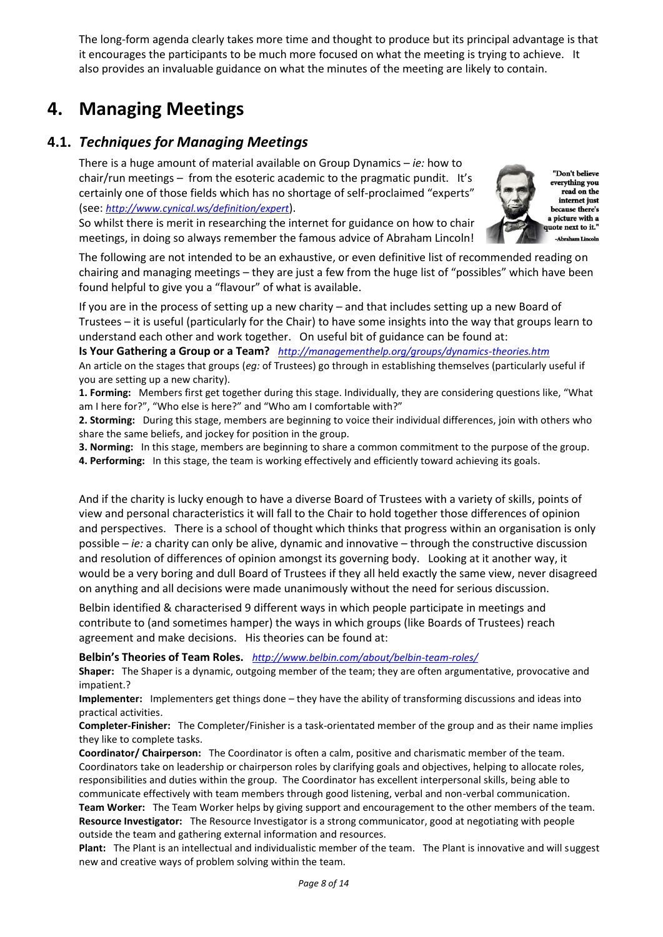The long-form agenda clearly takes more time and thought to produce but its principal advantage is that it encourages the participants to be much more focused on what the meeting is trying to achieve. It also provides an invaluable guidance on what the minutes of the meeting are likely to contain.

# <span id="page-7-0"></span>**4. Managing Meetings**

### <span id="page-7-1"></span>**4.1.** *Techniques for Managing Meetings*

There is a huge amount of material available on Group Dynamics – *ie:* how to chair/run meetings – from the esoteric academic to the pragmatic pundit. It's certainly one of those fields which has no shortage of self-proclaimed "experts" (see: *<http://www.cynical.ws/definition/expert>*).

So whilst there is merit in researching the internet for guidance on how to chair meetings, in doing so always remember the famous advice of Abraham Lincoln!



The following are not intended to be an exhaustive, or even definitive list of recommended reading on chairing and managing meetings – they are just a few from the huge list of "possibles" which have been found helpful to give you a "flavour" of what is available.

If you are in the process of setting up a new charity – and that includes setting up a new Board of Trustees – it is useful (particularly for the Chair) to have some insights into the way that groups learn to understand each other and work together. On useful bit of guidance can be found at:

**Is Your Gathering a Group or a Team?** *<http://managementhelp.org/groups/dynamics-theories.htm>*

An article on the stages that groups (*eg:* of Trustees) go through in establishing themselves (particularly useful if you are setting up a new charity).

**1. Forming:** Members first get together during this stage. Individually, they are considering questions like, "What am I here for?", "Who else is here?" and "Who am I comfortable with?"

**2. Storming:** During this stage, members are beginning to voice their individual differences, join with others who share the same beliefs, and jockey for position in the group.

**3. Norming:** In this stage, members are beginning to share a common commitment to the purpose of the group.

**4. Performing:** In this stage, the team is working effectively and efficiently toward achieving its goals.

And if the charity is lucky enough to have a diverse Board of Trustees with a variety of skills, points of view and personal characteristics it will fall to the Chair to hold together those differences of opinion and perspectives. There is a school of thought which thinks that progress within an organisation is only possible – *ie:* a charity can only be alive, dynamic and innovative – through the constructive discussion and resolution of differences of opinion amongst its governing body. Looking at it another way, it would be a very boring and dull Board of Trustees if they all held exactly the same view, never disagreed on anything and all decisions were made unanimously without the need for serious discussion.

Belbin identified & characterised 9 different ways in which people participate in meetings and contribute to (and sometimes hamper) the ways in which groups (like Boards of Trustees) reach agreement and make decisions. His theories can be found at:

**Belbin's Theories of Team Roles.** *<http://www.belbin.com/about/belbin-team-roles/>*

**Shaper:** The Shaper is a dynamic, outgoing member of the team; they are often argumentative, provocative and impatient.?

**Implementer:** Implementers get things done – they have the ability of transforming discussions and ideas into practical activities.

**Completer-Finisher:** The Completer/Finisher is a task-orientated member of the group and as their name implies they like to complete tasks.

**Coordinator/ Chairperson:** The Coordinator is often a calm, positive and charismatic member of the team. Coordinators take on leadership or chairperson roles by clarifying goals and objectives, helping to allocate roles, responsibilities and duties within the group. The Coordinator has excellent interpersonal skills, being able to communicate effectively with team members through good listening, verbal and non-verbal communication. **Team Worker:** The Team Worker helps by giving support and encouragement to the other members of the team. **Resource Investigator:** The Resource Investigator is a strong communicator, good at negotiating with people outside the team and gathering external information and resources.

**Plant:** The Plant is an intellectual and individualistic member of the team. The Plant is innovative and will suggest new and creative ways of problem solving within the team.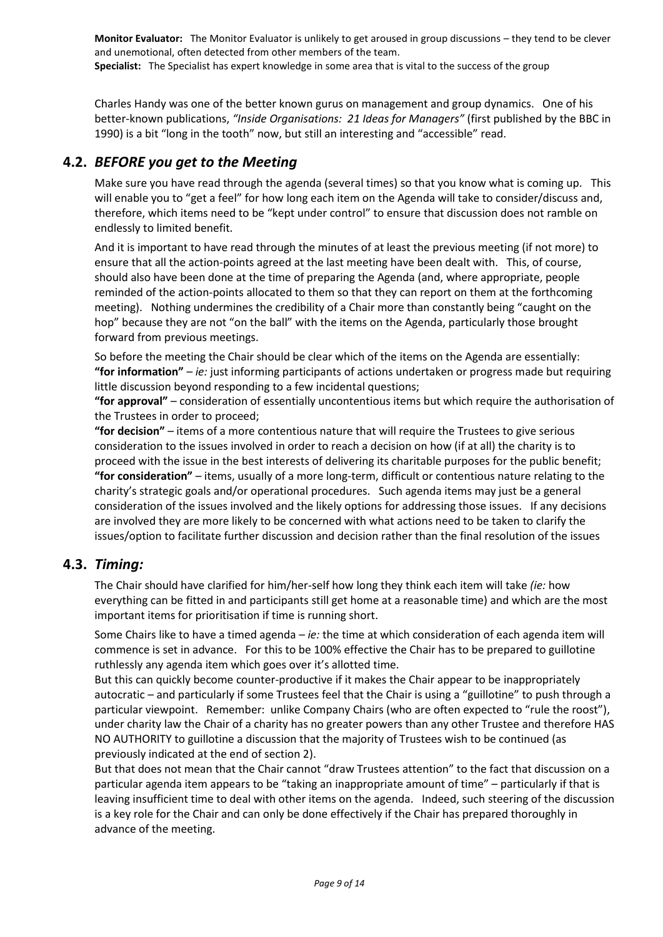**Monitor Evaluator:** The Monitor Evaluator is unlikely to get aroused in group discussions – they tend to be clever and unemotional, often detected from other members of the team. **Specialist:** The Specialist has expert knowledge in some area that is vital to the success of the group

Charles Handy was one of the better known gurus on management and group dynamics. One of his better-known publications, *"Inside Organisations: 21 Ideas for Managers"* (first published by the BBC in 1990) is a bit "long in the tooth" now, but still an interesting and "accessible" read.

## <span id="page-8-0"></span>**4.2.** *BEFORE you get to the Meeting*

Make sure you have read through the agenda (several times) so that you know what is coming up. This will enable you to "get a feel" for how long each item on the Agenda will take to consider/discuss and, therefore, which items need to be "kept under control" to ensure that discussion does not ramble on endlessly to limited benefit.

And it is important to have read through the minutes of at least the previous meeting (if not more) to ensure that all the action-points agreed at the last meeting have been dealt with. This, of course, should also have been done at the time of preparing the Agenda (and, where appropriate, people reminded of the action-points allocated to them so that they can report on them at the forthcoming meeting). Nothing undermines the credibility of a Chair more than constantly being "caught on the hop" because they are not "on the ball" with the items on the Agenda, particularly those brought forward from previous meetings.

So before the meeting the Chair should be clear which of the items on the Agenda are essentially: **"for information"** – *ie:* just informing participants of actions undertaken or progress made but requiring little discussion beyond responding to a few incidental questions;

**"for approval"** – consideration of essentially uncontentious items but which require the authorisation of the Trustees in order to proceed;

**"for decision"** – items of a more contentious nature that will require the Trustees to give serious consideration to the issues involved in order to reach a decision on how (if at all) the charity is to proceed with the issue in the best interests of delivering its charitable purposes for the public benefit; **"for consideration"** – items, usually of a more long-term, difficult or contentious nature relating to the charity's strategic goals and/or operational procedures. Such agenda items may just be a general consideration of the issues involved and the likely options for addressing those issues. If any decisions are involved they are more likely to be concerned with what actions need to be taken to clarify the issues/option to facilitate further discussion and decision rather than the final resolution of the issues

### <span id="page-8-1"></span>**4.3.** *Timing:*

The Chair should have clarified for him/her-self how long they think each item will take *(ie:* how everything can be fitted in and participants still get home at a reasonable time) and which are the most important items for prioritisation if time is running short.

Some Chairs like to have a timed agenda – *ie:* the time at which consideration of each agenda item will commence is set in advance. For this to be 100% effective the Chair has to be prepared to guillotine ruthlessly any agenda item which goes over it's allotted time.

But this can quickly become counter-productive if it makes the Chair appear to be inappropriately autocratic – and particularly if some Trustees feel that the Chair is using a "guillotine" to push through a particular viewpoint. Remember: unlike Company Chairs (who are often expected to "rule the roost"), under charity law the Chair of a charity has no greater powers than any other Trustee and therefore HAS NO AUTHORITY to guillotine a discussion that the majority of Trustees wish to be continued (as previously indicated at the end of section [2\)](#page-3-0).

But that does not mean that the Chair cannot "draw Trustees attention" to the fact that discussion on a particular agenda item appears to be "taking an inappropriate amount of time" – particularly if that is leaving insufficient time to deal with other items on the agenda. Indeed, such steering of the discussion is a key role for the Chair and can only be done effectively if the Chair has prepared thoroughly in advance of the meeting.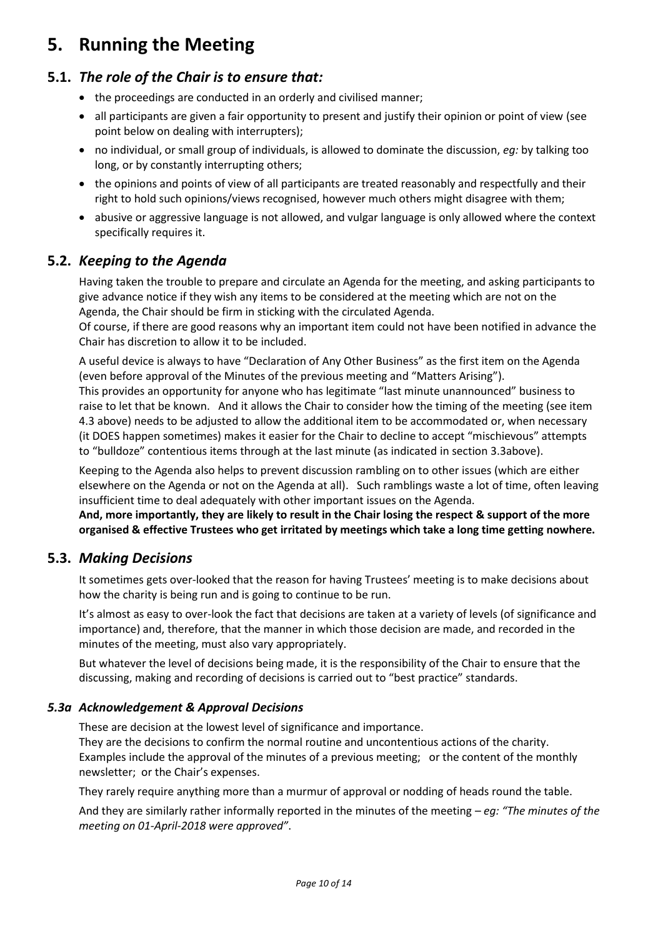# <span id="page-9-0"></span>**5. Running the Meeting**

# <span id="page-9-1"></span>**5.1.** *The role of the Chair is to ensure that:*

- the proceedings are conducted in an orderly and civilised manner;
- all participants are given a fair opportunity to present and justify their opinion or point of view (see point below on dealing with interrupters);
- no individual, or small group of individuals, is allowed to dominate the discussion, *eg:* by talking too long, or by constantly interrupting others;
- the opinions and points of view of all participants are treated reasonably and respectfully and their right to hold such opinions/views recognised, however much others might disagree with them;
- abusive or aggressive language is not allowed, and vulgar language is only allowed where the context specifically requires it.

## <span id="page-9-2"></span>**5.2.** *Keeping to the Agenda*

Having taken the trouble to prepare and circulate an Agenda for the meeting, and asking participants to give advance notice if they wish any items to be considered at the meeting which are not on the Agenda, the Chair should be firm in sticking with the circulated Agenda.

Of course, if there are good reasons why an important item could not have been notified in advance the Chair has discretion to allow it to be included.

A useful device is always to have "Declaration of Any Other Business" as the first item on the Agenda (even before approval of the Minutes of the previous meeting and "Matters Arising"). This provides an opportunity for anyone who has legitimate "last minute unannounced" business to raise to let that be known. And it allows the Chair to consider how the timing of the meeting (see item [4.3](#page-8-1) above) needs to be adjusted to allow the additional item to be accommodated or, when necessary (it DOES happen sometimes) makes it easier for the Chair to decline to accept "mischievous" attempts to "bulldoze" contentious items through at the last minute (as indicated in sectio[n 3.3a](#page-5-0)bove).

Keeping to the Agenda also helps to prevent discussion rambling on to other issues (which are either elsewhere on the Agenda or not on the Agenda at all). Such ramblings waste a lot of time, often leaving insufficient time to deal adequately with other important issues on the Agenda.

**And, more importantly, they are likely to result in the Chair losing the respect & support of the more organised & effective Trustees who get irritated by meetings which take a long time getting nowhere.**

### <span id="page-9-3"></span>**5.3.** *Making Decisions*

It sometimes gets over-looked that the reason for having Trustees' meeting is to make decisions about how the charity is being run and is going to continue to be run.

It's almost as easy to over-look the fact that decisions are taken at a variety of levels (of significance and importance) and, therefore, that the manner in which those decision are made, and recorded in the minutes of the meeting, must also vary appropriately.

But whatever the level of decisions being made, it is the responsibility of the Chair to ensure that the discussing, making and recording of decisions is carried out to "best practice" standards.

### <span id="page-9-4"></span>*5.3a Acknowledgement & Approval Decisions*

These are decision at the lowest level of significance and importance.

They are the decisions to confirm the normal routine and uncontentious actions of the charity. Examples include the approval of the minutes of a previous meeting; or the content of the monthly newsletter; or the Chair's expenses.

They rarely require anything more than a murmur of approval or nodding of heads round the table.

And they are similarly rather informally reported in the minutes of the meeting – *eg: "The minutes of the meeting on 01-April-2018 were approved"*.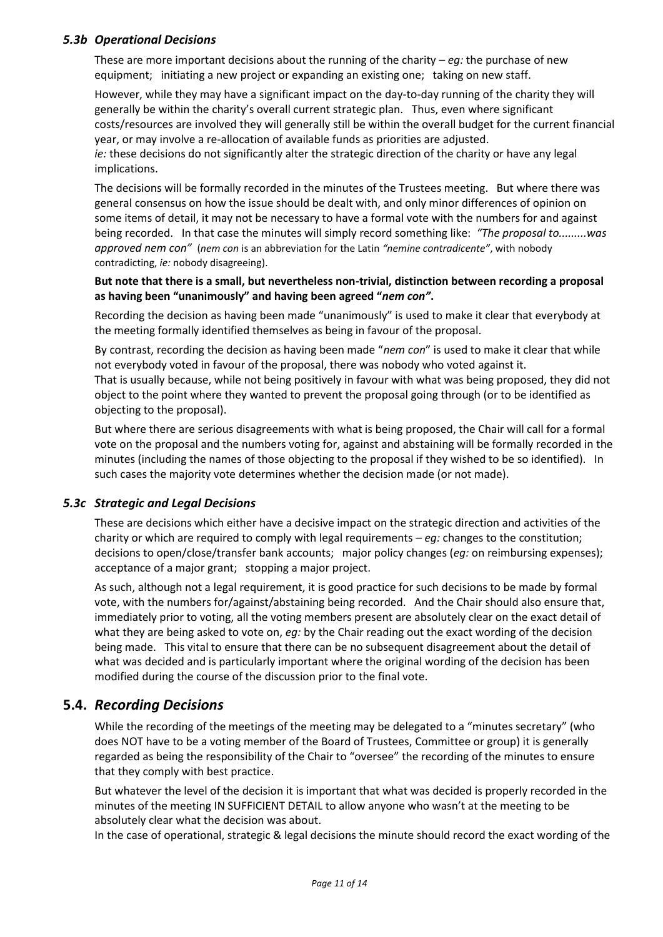#### <span id="page-10-0"></span>*5.3b Operational Decisions*

These are more important decisions about the running of the charity – *eg:* the purchase of new equipment; initiating a new project or expanding an existing one; taking on new staff.

However, while they may have a significant impact on the day-to-day running of the charity they will generally be within the charity's overall current strategic plan. Thus, even where significant costs/resources are involved they will generally still be within the overall budget for the current financial year, or may involve a re-allocation of available funds as priorities are adjusted. *ie:* these decisions do not significantly alter the strategic direction of the charity or have any legal implications.

The decisions will be formally recorded in the minutes of the Trustees meeting. But where there was general consensus on how the issue should be dealt with, and only minor differences of opinion on some items of detail, it may not be necessary to have a formal vote with the numbers for and against being recorded. In that case the minutes will simply record something like: *"The proposal to.........was approved nem con"* (*nem con* is an abbreviation for the Latin *"nemine contradicente"*, with nobody contradicting, *ie:* nobody disagreeing).

#### **But note that there is a small, but nevertheless non-trivial, distinction between recording a proposal as having been "unanimously" and having been agreed "***nem con"***.**

Recording the decision as having been made "unanimously" is used to make it clear that everybody at the meeting formally identified themselves as being in favour of the proposal.

By contrast, recording the decision as having been made "*nem con*" is used to make it clear that while not everybody voted in favour of the proposal, there was nobody who voted against it.

That is usually because, while not being positively in favour with what was being proposed, they did not object to the point where they wanted to prevent the proposal going through (or to be identified as objecting to the proposal).

But where there are serious disagreements with what is being proposed, the Chair will call for a formal vote on the proposal and the numbers voting for, against and abstaining will be formally recorded in the minutes (including the names of those objecting to the proposal if they wished to be so identified). In such cases the majority vote determines whether the decision made (or not made).

### <span id="page-10-1"></span>*5.3c Strategic and Legal Decisions*

These are decisions which either have a decisive impact on the strategic direction and activities of the charity or which are required to comply with legal requirements – *eg:* changes to the constitution; decisions to open/close/transfer bank accounts; major policy changes (*eg:* on reimbursing expenses); acceptance of a major grant; stopping a major project.

As such, although not a legal requirement, it is good practice for such decisions to be made by formal vote, with the numbers for/against/abstaining being recorded. And the Chair should also ensure that, immediately prior to voting, all the voting members present are absolutely clear on the exact detail of what they are being asked to vote on, *eg:* by the Chair reading out the exact wording of the decision being made. This vital to ensure that there can be no subsequent disagreement about the detail of what was decided and is particularly important where the original wording of the decision has been modified during the course of the discussion prior to the final vote.

### <span id="page-10-2"></span>**5.4.** *Recording Decisions*

While the recording of the meetings of the meeting may be delegated to a "minutes secretary" (who does NOT have to be a voting member of the Board of Trustees, Committee or group) it is generally regarded as being the responsibility of the Chair to "oversee" the recording of the minutes to ensure that they comply with best practice.

But whatever the level of the decision it is important that what was decided is properly recorded in the minutes of the meeting IN SUFFICIENT DETAIL to allow anyone who wasn't at the meeting to be absolutely clear what the decision was about.

In the case of operational, strategic & legal decisions the minute should record the exact wording of the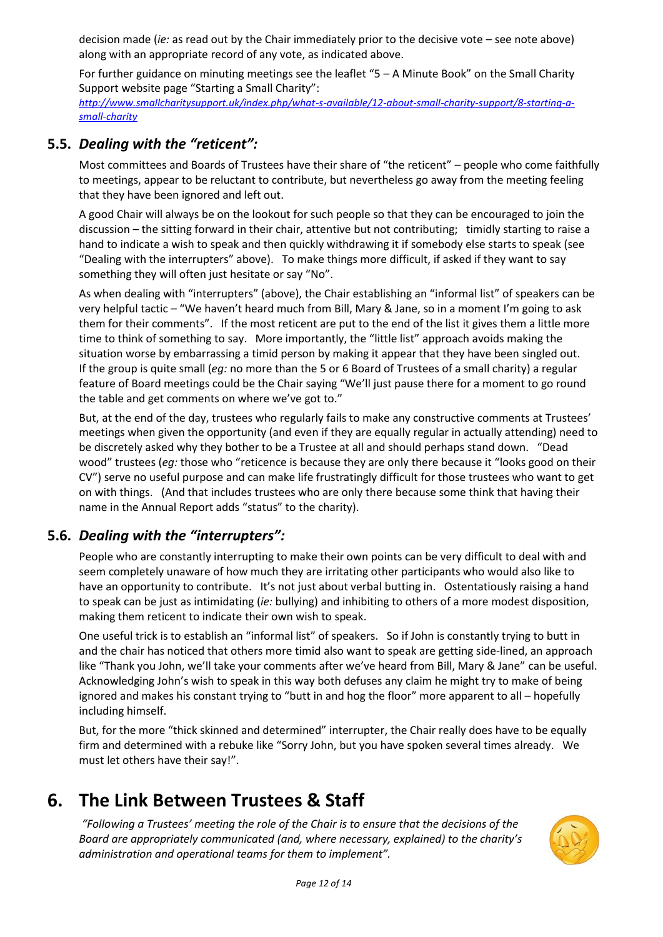decision made (*ie:* as read out by the Chair immediately prior to the decisive vote – see note above) along with an appropriate record of any vote, as indicated above.

For further guidance on minuting meetings see the leaflet "5 – A Minute Book" on the Small Charity Support website page "Starting a Small Charity":

*[http://www.smallcharitysupport.uk/index.php/what-s-available/12-about-small-charity-support/8-starting-a](http://www.smallcharitysupport.uk/index.php/what-s-available/12-about-small-charity-support/8-starting-a-small-charity)[small-charity](http://www.smallcharitysupport.uk/index.php/what-s-available/12-about-small-charity-support/8-starting-a-small-charity)*

### <span id="page-11-0"></span>**5.5.** *Dealing with the "reticent":*

Most committees and Boards of Trustees have their share of "the reticent" – people who come faithfully to meetings, appear to be reluctant to contribute, but nevertheless go away from the meeting feeling that they have been ignored and left out.

A good Chair will always be on the lookout for such people so that they can be encouraged to join the discussion – the sitting forward in their chair, attentive but not contributing; timidly starting to raise a hand to indicate a wish to speak and then quickly withdrawing it if somebody else starts to speak (see "Dealing with the interrupters" above). To make things more difficult, if asked if they want to say something they will often just hesitate or say "No".

As when dealing with "interrupters" (above), the Chair establishing an "informal list" of speakers can be very helpful tactic – "We haven't heard much from Bill, Mary & Jane, so in a moment I'm going to ask them for their comments". If the most reticent are put to the end of the list it gives them a little more time to think of something to say. More importantly, the "little list" approach avoids making the situation worse by embarrassing a timid person by making it appear that they have been singled out. If the group is quite small (*eg:* no more than the 5 or 6 Board of Trustees of a small charity) a regular feature of Board meetings could be the Chair saying "We'll just pause there for a moment to go round the table and get comments on where we've got to."

But, at the end of the day, trustees who regularly fails to make any constructive comments at Trustees' meetings when given the opportunity (and even if they are equally regular in actually attending) need to be discretely asked why they bother to be a Trustee at all and should perhaps stand down. "Dead wood" trustees (*eg:* those who "reticence is because they are only there because it "looks good on their CV") serve no useful purpose and can make life frustratingly difficult for those trustees who want to get on with things. (And that includes trustees who are only there because some think that having their name in the Annual Report adds "status" to the charity).

### <span id="page-11-1"></span>**5.6.** *Dealing with the "interrupters":*

People who are constantly interrupting to make their own points can be very difficult to deal with and seem completely unaware of how much they are irritating other participants who would also like to have an opportunity to contribute. It's not just about verbal butting in. Ostentatiously raising a hand to speak can be just as intimidating (*ie:* bullying) and inhibiting to others of a more modest disposition, making them reticent to indicate their own wish to speak.

One useful trick is to establish an "informal list" of speakers. So if John is constantly trying to butt in and the chair has noticed that others more timid also want to speak are getting side-lined, an approach like "Thank you John, we'll take your comments after we've heard from Bill, Mary & Jane" can be useful. Acknowledging John's wish to speak in this way both defuses any claim he might try to make of being ignored and makes his constant trying to "butt in and hog the floor" more apparent to all – hopefully including himself.

But, for the more "thick skinned and determined" interrupter, the Chair really does have to be equally firm and determined with a rebuke like "Sorry John, but you have spoken several times already. We must let others have their say!".

# <span id="page-11-2"></span>**6. The Link Between Trustees & Staff**

*"Following a Trustees' meeting the role of the Chair is to ensure that the decisions of the Board are appropriately communicated (and, where necessary, explained) to the charity's administration and operational teams for them to implement".*

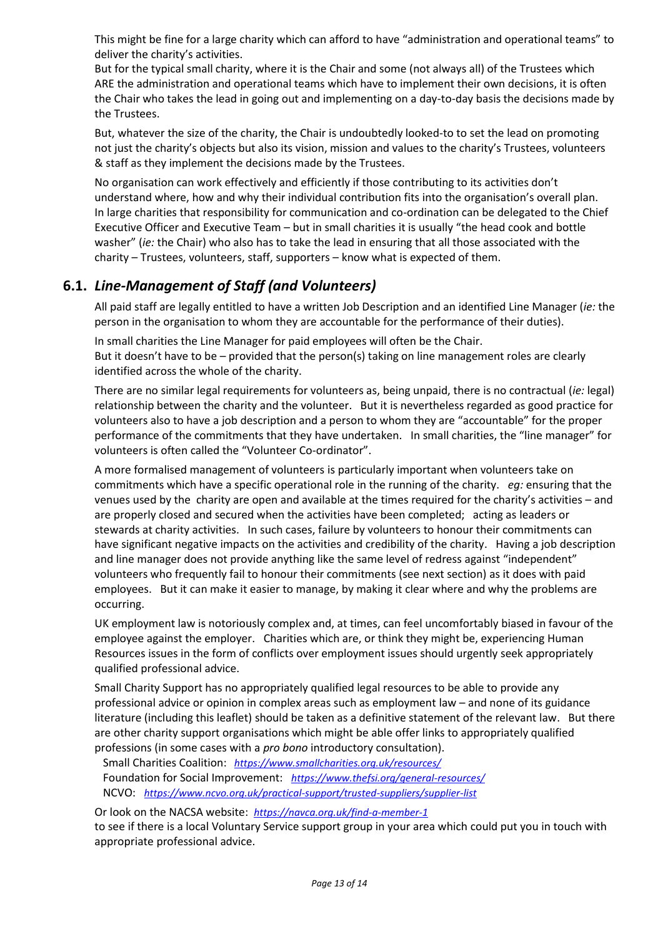This might be fine for a large charity which can afford to have "administration and operational teams" to deliver the charity's activities.

But for the typical small charity, where it is the Chair and some (not always all) of the Trustees which ARE the administration and operational teams which have to implement their own decisions, it is often the Chair who takes the lead in going out and implementing on a day-to-day basis the decisions made by the Trustees.

But, whatever the size of the charity, the Chair is undoubtedly looked-to to set the lead on promoting not just the charity's objects but also its vision, mission and values to the charity's Trustees, volunteers & staff as they implement the decisions made by the Trustees.

No organisation can work effectively and efficiently if those contributing to its activities don't understand where, how and why their individual contribution fits into the organisation's overall plan. In large charities that responsibility for communication and co-ordination can be delegated to the Chief Executive Officer and Executive Team – but in small charities it is usually "the head cook and bottle washer" (*ie:* the Chair) who also has to take the lead in ensuring that all those associated with the charity – Trustees, volunteers, staff, supporters – know what is expected of them.

## <span id="page-12-0"></span>**6.1.** *Line-Management of Staff (and Volunteers)*

All paid staff are legally entitled to have a written Job Description and an identified Line Manager (*ie:* the person in the organisation to whom they are accountable for the performance of their duties).

In small charities the Line Manager for paid employees will often be the Chair. But it doesn't have to be – provided that the person(s) taking on line management roles are clearly identified across the whole of the charity.

There are no similar legal requirements for volunteers as, being unpaid, there is no contractual (*ie:* legal) relationship between the charity and the volunteer. But it is nevertheless regarded as good practice for volunteers also to have a job description and a person to whom they are "accountable" for the proper performance of the commitments that they have undertaken. In small charities, the "line manager" for volunteers is often called the "Volunteer Co-ordinator".

A more formalised management of volunteers is particularly important when volunteers take on commitments which have a specific operational role in the running of the charity. *eg:* ensuring that the venues used by the charity are open and available at the times required for the charity's activities – and are properly closed and secured when the activities have been completed; acting as leaders or stewards at charity activities. In such cases, failure by volunteers to honour their commitments can have significant negative impacts on the activities and credibility of the charity. Having a job description and line manager does not provide anything like the same level of redress against "independent" volunteers who frequently fail to honour their commitments (see next section) as it does with paid employees. But it can make it easier to manage, by making it clear where and why the problems are occurring.

UK employment law is notoriously complex and, at times, can feel uncomfortably biased in favour of the employee against the employer. Charities which are, or think they might be, experiencing Human Resources issues in the form of conflicts over employment issues should urgently seek appropriately qualified professional advice.

Small Charity Support has no appropriately qualified legal resources to be able to provide any professional advice or opinion in complex areas such as employment law – and none of its guidance literature (including this leaflet) should be taken as a definitive statement of the relevant law. But there are other charity support organisations which might be able offer links to appropriately qualified professions (in some cases with a *pro bono* introductory consultation).

 Small Charities Coalition: *<https://www.smallcharities.org.uk/resources/>* Foundation for Social Improvement: *<https://www.thefsi.org/general-resources/>* NCVO: *<https://www.ncvo.org.uk/practical-support/trusted-suppliers/supplier-list>*

Or look on the NACSA website: *<https://navca.org.uk/find-a-member-1>*

to see if there is a local Voluntary Service support group in your area which could put you in touch with appropriate professional advice.